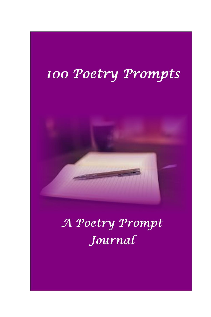# 100 Poetry Prompts



# A Poetry Prompt Journal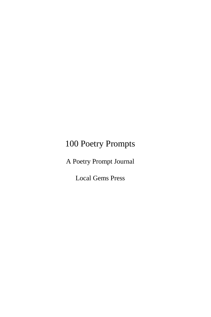100 Poetry Prompts

A Poetry Prompt Journal

Local Gems Press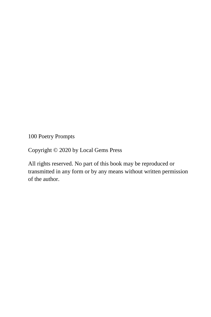100 Poetry Prompts

Copyright © 2020 by Local Gems Press

All rights reserved. No part of this book may be reproduced or transmitted in any form or by any means without written permission of the author.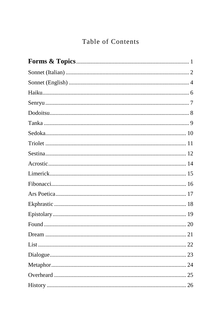# Table of Contents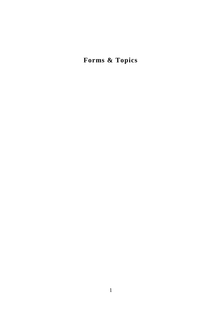**Forms & Topics**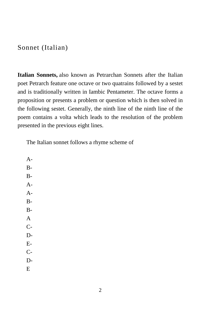Sonnet (Italian)

**Italian Sonnets,** also known as Petrarchan Sonnets after the Italian poet Petrarch feature one octave or two quatrains followed by a sestet and is traditionally written in Iambic Pentameter. The octave forms a proposition or presents a problem or question which is then solved in the following sestet. Generally, the ninth line of the ninth line of the poem contains a volta which leads to the resolution of the problem presented in the previous eight lines.

The Italian sonnet follows a rhyme scheme of

 $A R_{-}$  $R_{-}$  $A A R_{-}$ B-A  $C D-$ E- $C D E$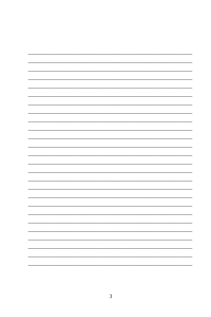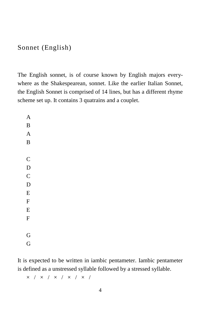#### Sonnet (English)

The English sonnet, is of course known by English majors everywhere as the Shakespearean, sonnet. Like the earlier Italian Sonnet, the English Sonnet is comprised of 14 lines, but has a different rhyme scheme set up. It contains 3 quatrains and a couplet.

A B A B  $\mathcal{C}$ D  $\mathcal{C}$ D E F E F G G

It is expected to be written in iambic pentameter. Iambic pentameter is defined as a unstressed syllable followed by a stressed syllable.

 $x / x / x / x / x / x / x$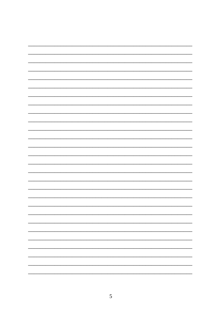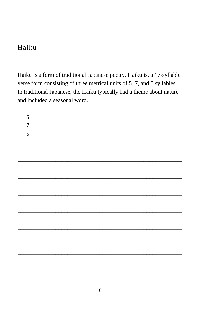## Haiku

Haiku is a form of traditional Japanese poetry. Haiku is, a 17-syllable verse form consisting of three metrical units of 5, 7, and 5 syllables. In traditional Japanese, the Haiku typically had a theme about nature and included a seasonal word.

5  $\overline{7}$ 5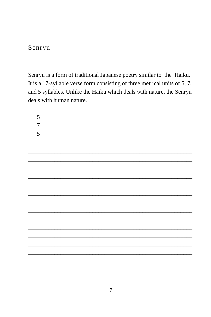### Senryu

Senryu is a form of traditional Japanese poetry similar to the Haiku. It is a 17-syllable verse form consisting of three metrical units of 5, 7, and 5 syllables. Unlike the Haiku which deals with nature, the Senryu deals with human nature.

5  $\overline{7}$ 5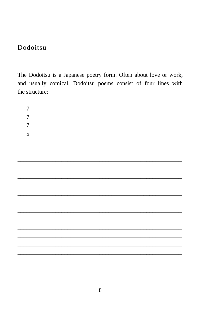## Dodoitsu

The Dodoitsu is a Japanese poetry form. Often about love or work, and usually comical, Dodoitsu poems consist of four lines with the structure:

 $\overline{7}$  $\overline{7}$  $\overline{7}$  $\overline{5}$ 

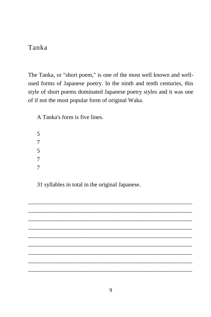Tanka

The Tanka, or "short poem," is one of the most well known and wellused forms of Japanese poetry. In the ninth and tenth centuries, this style of short poems dominated Japanese poetry styles and it was one of if not the most popular form of original Waka.

A Tanka's form is five lines.

31 syllables in total in the original Japanese.

\_\_\_\_\_\_\_\_\_\_\_\_\_\_\_\_\_\_\_\_\_\_\_\_\_\_\_\_\_\_\_\_\_\_\_\_\_\_\_\_\_\_\_\_\_\_\_\_\_\_\_\_\_\_\_\_ \_\_\_\_\_\_\_\_\_\_\_\_\_\_\_\_\_\_\_\_\_\_\_\_\_\_\_\_\_\_\_\_\_\_\_\_\_\_\_\_\_\_\_\_\_\_\_\_\_\_\_\_\_\_\_\_ \_\_\_\_\_\_\_\_\_\_\_\_\_\_\_\_\_\_\_\_\_\_\_\_\_\_\_\_\_\_\_\_\_\_\_\_\_\_\_\_\_\_\_\_\_\_\_\_\_\_\_\_\_\_\_\_ \_\_\_\_\_\_\_\_\_\_\_\_\_\_\_\_\_\_\_\_\_\_\_\_\_\_\_\_\_\_\_\_\_\_\_\_\_\_\_\_\_\_\_\_\_\_\_\_\_\_\_\_\_\_\_\_ \_\_\_\_\_\_\_\_\_\_\_\_\_\_\_\_\_\_\_\_\_\_\_\_\_\_\_\_\_\_\_\_\_\_\_\_\_\_\_\_\_\_\_\_\_\_\_\_\_\_\_\_\_\_\_\_ \_\_\_\_\_\_\_\_\_\_\_\_\_\_\_\_\_\_\_\_\_\_\_\_\_\_\_\_\_\_\_\_\_\_\_\_\_\_\_\_\_\_\_\_\_\_\_\_\_\_\_\_\_\_\_\_ \_\_\_\_\_\_\_\_\_\_\_\_\_\_\_\_\_\_\_\_\_\_\_\_\_\_\_\_\_\_\_\_\_\_\_\_\_\_\_\_\_\_\_\_\_\_\_\_\_\_\_\_\_\_\_\_ \_\_\_\_\_\_\_\_\_\_\_\_\_\_\_\_\_\_\_\_\_\_\_\_\_\_\_\_\_\_\_\_\_\_\_\_\_\_\_\_\_\_\_\_\_\_\_\_\_\_\_\_\_\_\_\_ \_\_\_\_\_\_\_\_\_\_\_\_\_\_\_\_\_\_\_\_\_\_\_\_\_\_\_\_\_\_\_\_\_\_\_\_\_\_\_\_\_\_\_\_\_\_\_\_\_\_\_\_\_\_\_\_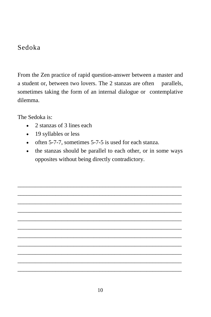## Sedoka

From the Zen practice of rapid question-answer between a master and a student or, between two lovers. The 2 stanzas are often parallels, sometimes taking the form of an internal dialogue or contemplative dilemma.

The Sedoka is:

- 2 stanzas of 3 lines each
- 19 syllables or less
- $\bullet$  often 5-7-7, sometimes 5-7-5 is used for each stanza.
- the stanzas should be parallel to each other, or in some ways opposites without being directly contradictory.

\_\_\_\_\_\_\_\_\_\_\_\_\_\_\_\_\_\_\_\_\_\_\_\_\_\_\_\_\_\_\_\_\_\_\_\_\_\_\_\_\_\_\_\_\_\_\_\_\_\_\_\_\_\_\_\_ \_\_\_\_\_\_\_\_\_\_\_\_\_\_\_\_\_\_\_\_\_\_\_\_\_\_\_\_\_\_\_\_\_\_\_\_\_\_\_\_\_\_\_\_\_\_\_\_\_\_\_\_\_\_\_\_ \_\_\_\_\_\_\_\_\_\_\_\_\_\_\_\_\_\_\_\_\_\_\_\_\_\_\_\_\_\_\_\_\_\_\_\_\_\_\_\_\_\_\_\_\_\_\_\_\_\_\_\_\_\_\_\_ \_\_\_\_\_\_\_\_\_\_\_\_\_\_\_\_\_\_\_\_\_\_\_\_\_\_\_\_\_\_\_\_\_\_\_\_\_\_\_\_\_\_\_\_\_\_\_\_\_\_\_\_\_\_\_\_ \_\_\_\_\_\_\_\_\_\_\_\_\_\_\_\_\_\_\_\_\_\_\_\_\_\_\_\_\_\_\_\_\_\_\_\_\_\_\_\_\_\_\_\_\_\_\_\_\_\_\_\_\_\_\_\_ \_\_\_\_\_\_\_\_\_\_\_\_\_\_\_\_\_\_\_\_\_\_\_\_\_\_\_\_\_\_\_\_\_\_\_\_\_\_\_\_\_\_\_\_\_\_\_\_\_\_\_\_\_\_\_\_ \_\_\_\_\_\_\_\_\_\_\_\_\_\_\_\_\_\_\_\_\_\_\_\_\_\_\_\_\_\_\_\_\_\_\_\_\_\_\_\_\_\_\_\_\_\_\_\_\_\_\_\_\_\_\_\_ \_\_\_\_\_\_\_\_\_\_\_\_\_\_\_\_\_\_\_\_\_\_\_\_\_\_\_\_\_\_\_\_\_\_\_\_\_\_\_\_\_\_\_\_\_\_\_\_\_\_\_\_\_\_\_\_ \_\_\_\_\_\_\_\_\_\_\_\_\_\_\_\_\_\_\_\_\_\_\_\_\_\_\_\_\_\_\_\_\_\_\_\_\_\_\_\_\_\_\_\_\_\_\_\_\_\_\_\_\_\_\_\_ \_\_\_\_\_\_\_\_\_\_\_\_\_\_\_\_\_\_\_\_\_\_\_\_\_\_\_\_\_\_\_\_\_\_\_\_\_\_\_\_\_\_\_\_\_\_\_\_\_\_\_\_\_\_\_\_ \_\_\_\_\_\_\_\_\_\_\_\_\_\_\_\_\_\_\_\_\_\_\_\_\_\_\_\_\_\_\_\_\_\_\_\_\_\_\_\_\_\_\_\_\_\_\_\_\_\_\_\_\_\_\_\_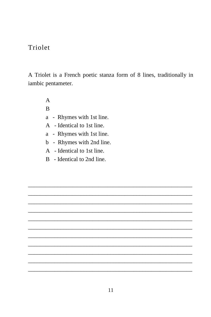## Triolet

A Triolet is a French poetic stanza form of 8 lines, traditionally in iambic pentameter.

 $\overline{A}$ 

 $\overline{B}$ 

- a Rhymes with 1st line.
- A Identical to 1st line.
- a Rhymes with 1st line.
- b Rhymes with 2nd line.
- A Identical to 1st line.
- B Identical to 2nd line.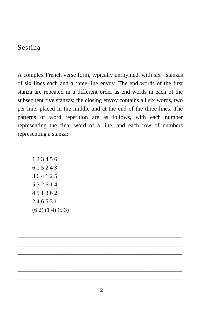#### Sestina

A complex French verse form, typically unrhymed, with six stanzas of six lines each and a three-line envoy. The end words of the first stanza are repeated in a different order as end words in each of the subsequent five stanzas; the closing envoy contains all six words, two per line, placed in the middle and at the end of the three lines. The patterns of word repetition are as follows, with each number representing the final word of a line, and each row of numbers representing a stanza:

\_\_\_\_\_\_\_\_\_\_\_\_\_\_\_\_\_\_\_\_\_\_\_\_\_\_\_\_\_\_\_\_\_\_\_\_\_\_\_\_\_\_\_\_\_\_\_\_\_\_\_\_\_\_\_\_ \_\_\_\_\_\_\_\_\_\_\_\_\_\_\_\_\_\_\_\_\_\_\_\_\_\_\_\_\_\_\_\_\_\_\_\_\_\_\_\_\_\_\_\_\_\_\_\_\_\_\_\_\_\_\_\_ \_\_\_\_\_\_\_\_\_\_\_\_\_\_\_\_\_\_\_\_\_\_\_\_\_\_\_\_\_\_\_\_\_\_\_\_\_\_\_\_\_\_\_\_\_\_\_\_\_\_\_\_\_\_\_\_ \_\_\_\_\_\_\_\_\_\_\_\_\_\_\_\_\_\_\_\_\_\_\_\_\_\_\_\_\_\_\_\_\_\_\_\_\_\_\_\_\_\_\_\_\_\_\_\_\_\_\_\_\_\_\_\_ \_\_\_\_\_\_\_\_\_\_\_\_\_\_\_\_\_\_\_\_\_\_\_\_\_\_\_\_\_\_\_\_\_\_\_\_\_\_\_\_\_\_\_\_\_\_\_\_\_\_\_\_\_\_\_\_ \_\_\_\_\_\_\_\_\_\_\_\_\_\_\_\_\_\_\_\_\_\_\_\_\_\_\_\_\_\_\_\_\_\_\_\_\_\_\_\_\_\_\_\_\_\_\_\_\_\_\_\_\_\_\_\_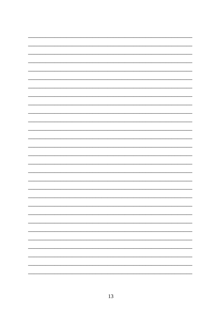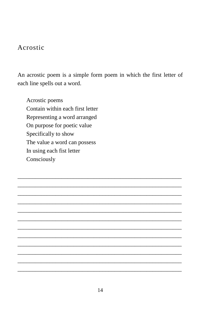#### Acrostic

An acrostic poem is a simple form poem in which the first letter of each line spells out a word.

Acrostic poems Contain within each first letter Representing a word arranged On purpose for poetic value Specifically to show The value a word can possess In using each fist letter Consciously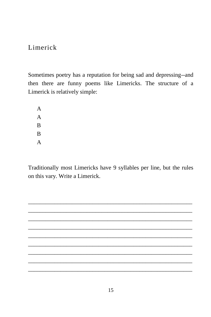## Limerick

Sometimes poetry has a reputation for being sad and depressing--and then there are funny poems like Limericks. The structure of a Limerick is relatively simple:

 A A B B A

Traditionally most Limericks have 9 syllables per line, but the rules on this vary. Write a Limerick.

\_\_\_\_\_\_\_\_\_\_\_\_\_\_\_\_\_\_\_\_\_\_\_\_\_\_\_\_\_\_\_\_\_\_\_\_\_\_\_\_\_\_\_\_\_\_\_\_\_\_\_\_\_\_\_\_ \_\_\_\_\_\_\_\_\_\_\_\_\_\_\_\_\_\_\_\_\_\_\_\_\_\_\_\_\_\_\_\_\_\_\_\_\_\_\_\_\_\_\_\_\_\_\_\_\_\_\_\_\_\_\_\_ \_\_\_\_\_\_\_\_\_\_\_\_\_\_\_\_\_\_\_\_\_\_\_\_\_\_\_\_\_\_\_\_\_\_\_\_\_\_\_\_\_\_\_\_\_\_\_\_\_\_\_\_\_\_\_\_ \_\_\_\_\_\_\_\_\_\_\_\_\_\_\_\_\_\_\_\_\_\_\_\_\_\_\_\_\_\_\_\_\_\_\_\_\_\_\_\_\_\_\_\_\_\_\_\_\_\_\_\_\_\_\_\_ \_\_\_\_\_\_\_\_\_\_\_\_\_\_\_\_\_\_\_\_\_\_\_\_\_\_\_\_\_\_\_\_\_\_\_\_\_\_\_\_\_\_\_\_\_\_\_\_\_\_\_\_\_\_\_\_ \_\_\_\_\_\_\_\_\_\_\_\_\_\_\_\_\_\_\_\_\_\_\_\_\_\_\_\_\_\_\_\_\_\_\_\_\_\_\_\_\_\_\_\_\_\_\_\_\_\_\_\_\_\_\_\_ \_\_\_\_\_\_\_\_\_\_\_\_\_\_\_\_\_\_\_\_\_\_\_\_\_\_\_\_\_\_\_\_\_\_\_\_\_\_\_\_\_\_\_\_\_\_\_\_\_\_\_\_\_\_\_\_ \_\_\_\_\_\_\_\_\_\_\_\_\_\_\_\_\_\_\_\_\_\_\_\_\_\_\_\_\_\_\_\_\_\_\_\_\_\_\_\_\_\_\_\_\_\_\_\_\_\_\_\_\_\_\_\_ \_\_\_\_\_\_\_\_\_\_\_\_\_\_\_\_\_\_\_\_\_\_\_\_\_\_\_\_\_\_\_\_\_\_\_\_\_\_\_\_\_\_\_\_\_\_\_\_\_\_\_\_\_\_\_\_

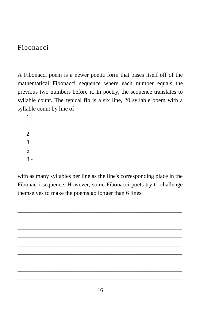## Fibonacci

A Fibonacci poem is a newer poetic form that bases itself off of the mathematical Fibonacci sequence where each number equals the previous two numbers before it. In poetry, the sequence translates to syllable count. The typical fib is a six line, 20 syllable poem with a syllable count by line of

with as many syllables per line as the line's corresponding place in the Fibonacci sequence. However, some Fibonacci poets try to challenge themselves to make the poems go longer than 6 lines.

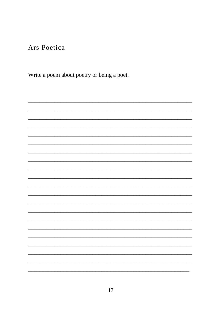Ars Poetica

Write a poem about poetry or being a poet.

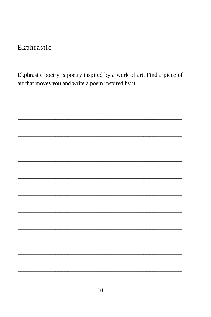## Ekphrastic

Ekphrastic poetry is poetry inspired by a work of art. Find a piece of art that moves you and write a poem inspired by it.

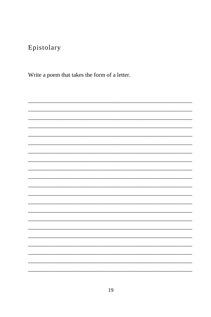Epistolary

Write a poem that takes the form of a letter.

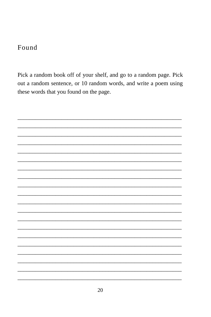## Found

Pick a random book off of your shelf, and go to a random page. Pick out a random sentence, or 10 random words, and write a poem using these words that you found on the page.

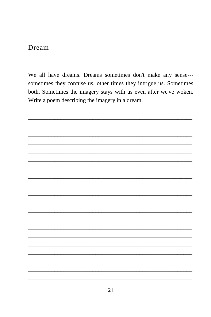#### Dream

We all have dreams. Dreams sometimes don't make any sense--sometimes they confuse us, other times they intrigue us. Sometimes both. Sometimes the imagery stays with us even after we've woken. Write a poem describing the imagery in a dream.

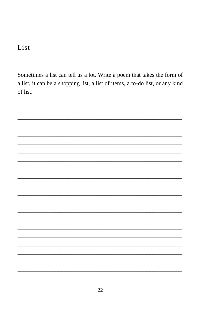List

Sometimes a list can tell us a lot. Write a poem that takes the form of a list, it can be a shopping list, a list of items, a to-do list, or any kind of list.

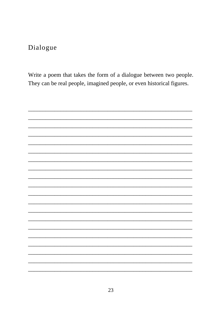Dialogue

Write a poem that takes the form of a dialogue between two people. They can be real people, imagined people, or even historical figures.

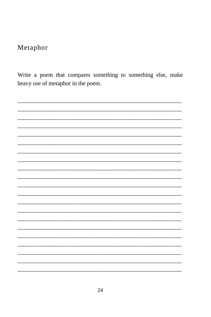## Metaphor

Write a poem that compares something to something else, make heavy use of metaphor in the poem.

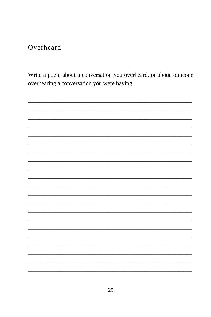Overheard

Write a poem about a conversation you overheard, or about someone overhearing a conversation you were having.

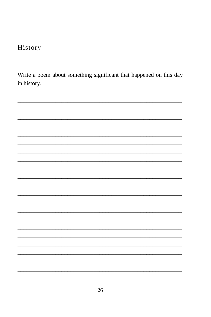## History

Write a poem about something significant that happened on this day in history.

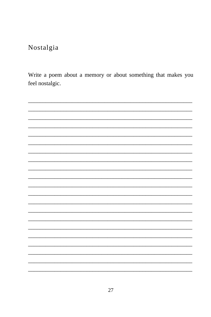Nostalgia

Write a poem about a memory or about something that makes you feel nostalgic.

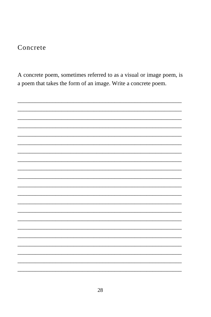## Concrete

A concrete poem, sometimes referred to as a visual or image poem, is a poem that takes the form of an image. Write a concrete poem.

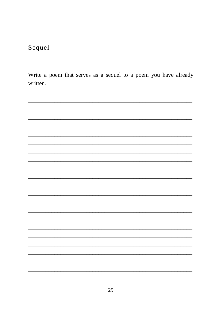# Sequel

Write a poem that serves as a sequel to a poem you have already written.

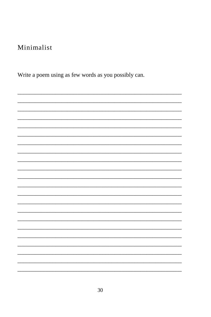Minimalist

Write a poem using as few words as you possibly can.

 $\overline{a}$  $\overline{\phantom{a}}$  $\overline{\phantom{a}}$  $\overline{\phantom{a}}$  $\overline{a}$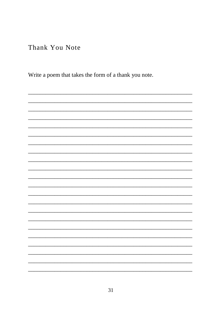Thank You Note

Write a poem that takes the form of a thank you note.

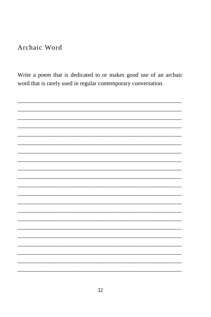## Archaic Word

Write a poem that is dedicated to or makes good use of an archaic word that is rarely used in regular contemporary conversation.

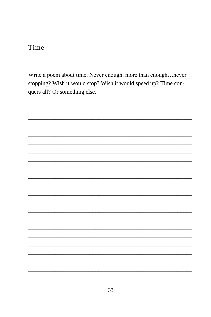#### Time

Write a poem about time. Never enough, more than enough...never stopping? Wish it would stop? Wish it would speed up? Time conquers all? Or something else.

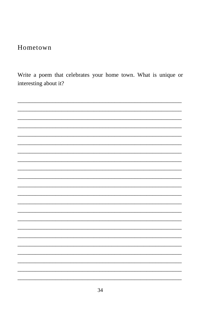#### Hometown

Write a poem that celebrates your home town. What is unique or interesting about it?

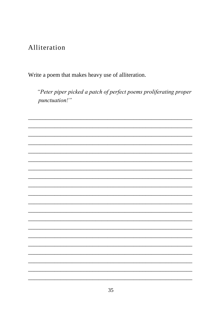Alliteration

Write a poem that makes heavy use of alliteration.

"Peter piper picked a patch of perfect poems proliferating proper punctuation!"

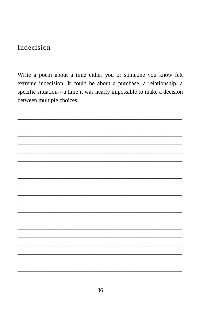## Indecision

Write a poem about a time either you or someone you know felt extreme indecision. It could be about a purchase, a relationship, a specific situation---a time it was nearly impossible to make a decision between multiple choices.

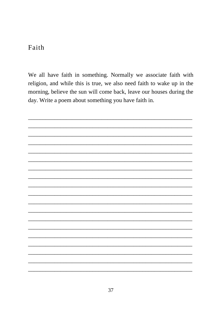#### Faith

We all have faith in something. Normally we associate faith with religion, and while this is true, we also need faith to wake up in the morning, believe the sun will come back, leave our houses during the day. Write a poem about something you have faith in.

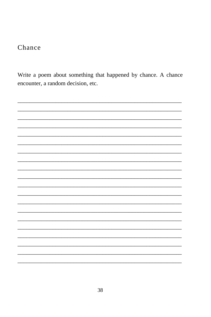## Chance

Write a poem about something that happened by chance. A chance encounter, a random decision, etc.

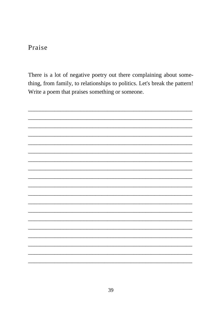#### Praise

There is a lot of negative poetry out there complaining about something, from family, to relationships to politics. Let's break the pattern! Write a poem that praises something or someone.

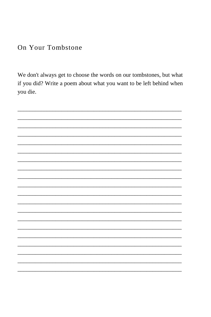On Your Tombstone

We don't always get to choose the words on our tombstones, but what if you did? Write a poem about what you want to be left behind when you die.

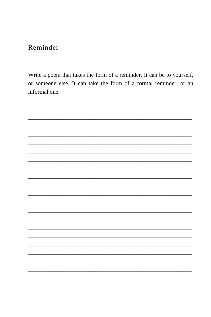## Reminder

Write a poem that takes the form of a reminder. It can be to yourself, or someone else. It can take the form of a formal reminder, or an informal one.

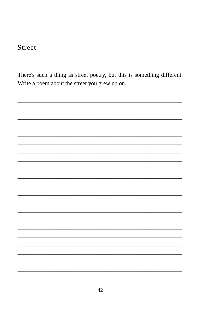Street

There's such a thing as street poetry, but this is something different. Write a poem about the street you grew up on.

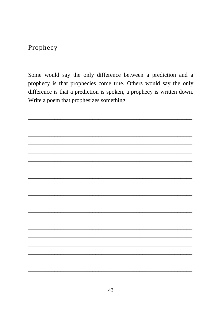Prophecy

Some would say the only difference between a prediction and a prophecy is that prophecies come true. Others would say the only difference is that a prediction is spoken, a prophecy is written down. Write a poem that prophesizes something.

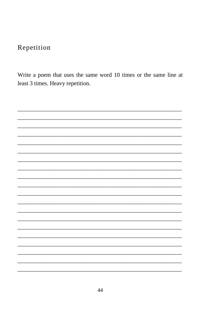# Repetition

Write a poem that uses the same word 10 times or the same line at least 3 times. Heavy repetition.

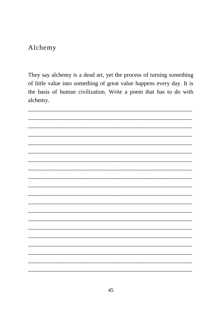#### Alchemy

They say alchemy is a dead art, yet the process of turning something of little value into something of great value happens every day. It is the basis of human civilization. Write a poem that has to do with alchemy.

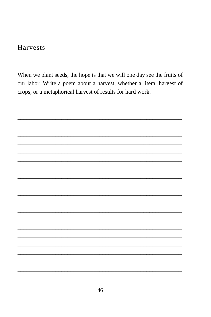### Harvests

When we plant seeds, the hope is that we will one day see the fruits of our labor. Write a poem about a harvest, whether a literal harvest of crops, or a metaphorical harvest of results for hard work.

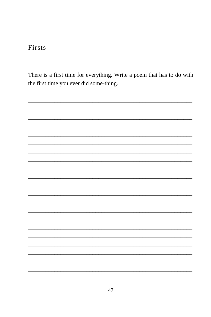Firsts

There is a first time for everything. Write a poem that has to do with the first time you ever did some-thing.

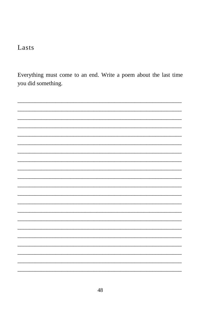## Lasts

Everything must come to an end. Write a poem about the last time you did something.

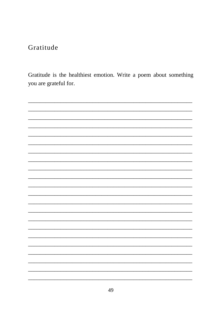Gratitude

Gratitude is the healthiest emotion. Write a poem about something you are grateful for.

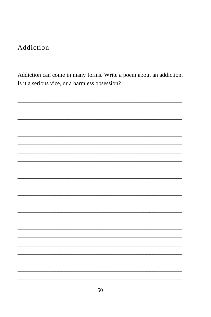# Addiction

Addiction can come in many forms. Write a poem about an addiction. Is it a serious vice, or a harmless obsession?

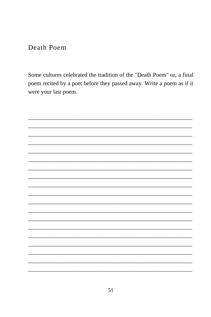Death Poem

Some cultures celebrated the tradition of the "Death Poem" or, a final poem recited by a poet before they passed away. Write a poem as if it were your last poem.

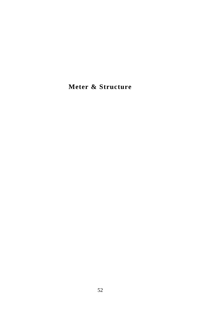# **Meter & Structure**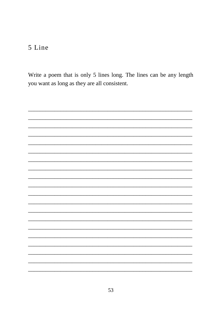5 Line

Write a poem that is only 5 lines long. The lines can be any length you want as long as they are all consistent.

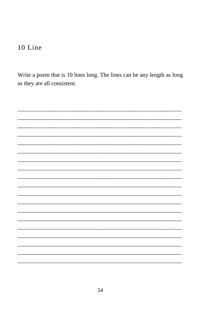# 10 Line

Write a poem that is 10 lines long. The lines can be any length as long as they are all consistent.

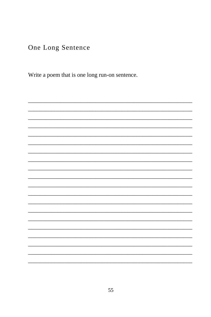One Long Sentence

Write a poem that is one long run-on sentence.

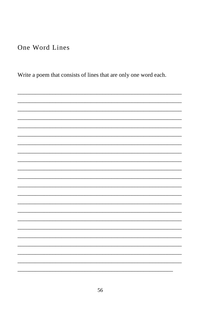One Word Lines

Write a poem that consists of lines that are only one word each.

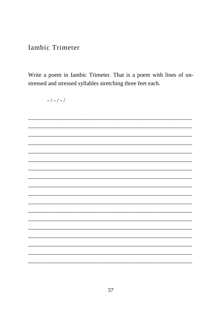Iambic Trimeter

Write a poem in Iambic Trimeter. That is a poem with lines of unstressed and stressed syllables stretching three feet each.

 $-/-/-/$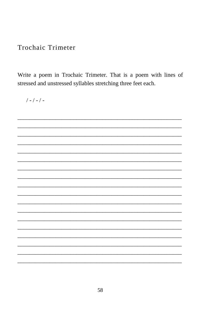Trochaic Trimeter

Write a poem in Trochaic Trimeter. That is a poem with lines of stressed and unstressed syllables stretching three feet each.

 $1 - 1 - 1 -$ 

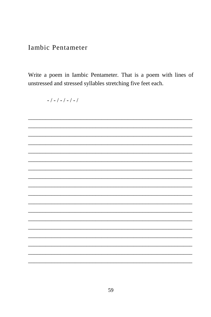**Iambic Pentameter** 

Write a poem in Iambic Pentameter. That is a poem with lines of unstressed and stressed syllables stretching five feet each.

 $-/-/-/-/-/-/$ 

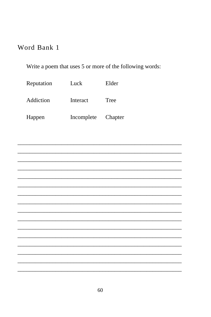## Word Bank 1

Write a poem that uses 5 or more of the following words:

| Reputation | Luck       | Elder   |  |
|------------|------------|---------|--|
| Addiction  | Interact   | Tree    |  |
| Happen     | Incomplete | Chapter |  |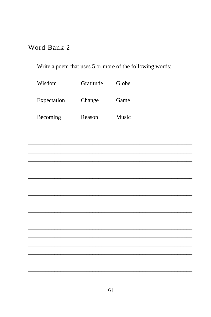# Word Bank 2

Write a poem that uses 5 or more of the following words:

| Wisdom      | Gratitude | Globe |
|-------------|-----------|-------|
| Expectation | Change    | Game  |
| Becoming    | Reason    | Music |

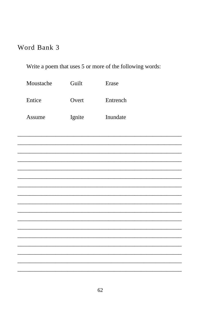## Word Bank 3

l.

Write a poem that uses 5 or more of the following words:

| Moustache | Guilt  | Erase    |
|-----------|--------|----------|
| Entice    | Overt  | Entrench |
| Assume    | Ignite | Inundate |
|           |        |          |
|           |        |          |
|           |        |          |
|           |        |          |
|           |        |          |
|           |        |          |
|           |        |          |
|           |        |          |
|           |        |          |
|           |        |          |
|           |        |          |
|           |        |          |
|           |        |          |
|           |        |          |
|           |        |          |
|           |        |          |
|           |        |          |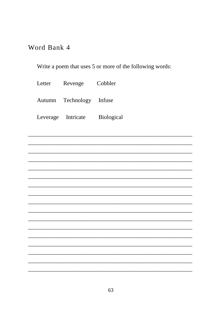Write a poem that uses 5 or more of the following words:

| Letter | Revenge | Cobbler |
|--------|---------|---------|
|--------|---------|---------|

Autumn Technology Infuse

Biological Leverage Intricate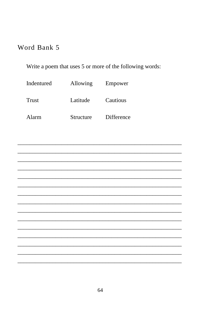| Indentured | Allowing  | Empower    |
|------------|-----------|------------|
| Trust      | Latitude  | Cautious   |
| Alarm      | Structure | Difference |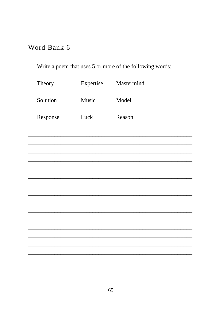| Theory   | Expertise | Mastermind |
|----------|-----------|------------|
| Solution | Music     | Model      |
| Response | Luck      | Reason     |
|          |           |            |
|          |           |            |
|          |           |            |
|          |           |            |
|          |           |            |
|          |           |            |
|          |           |            |
|          |           |            |
|          |           |            |
|          |           |            |
|          |           |            |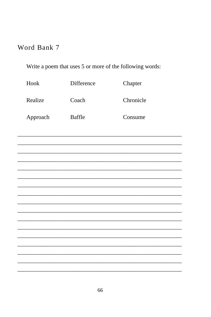| Hook     | Difference    | Chapter   |
|----------|---------------|-----------|
| Realize  | Coach         | Chronicle |
| Approach | <b>Baffle</b> | Consume   |
|          |               |           |
|          |               |           |
|          |               |           |
|          |               |           |
|          |               |           |
|          |               |           |
|          |               |           |
|          |               |           |
|          |               |           |
|          |               |           |
|          |               |           |
|          |               |           |
|          |               |           |
|          |               |           |
|          |               |           |
|          |               |           |
|          |               |           |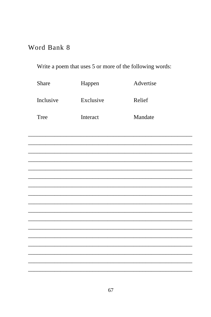| Share       | Happen    | Advertise |
|-------------|-----------|-----------|
| Inclusive   | Exclusive | Relief    |
| <b>Tree</b> | Interact  | Mandate   |
|             |           |           |
|             |           |           |
|             |           |           |
|             |           |           |
|             |           |           |
|             |           |           |
|             |           |           |
|             |           |           |
|             |           |           |
|             |           |           |
|             |           |           |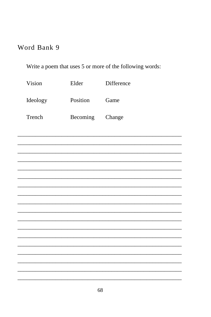| Vision   | Elder    | Difference |
|----------|----------|------------|
| Ideology | Position | Game       |
| Trench   | Becoming | Change     |
|          |          |            |
|          |          |            |
|          |          |            |
|          |          |            |
|          |          |            |
|          |          |            |
|          |          |            |
|          |          |            |
|          |          |            |
|          |          |            |
|          |          |            |
|          |          |            |
|          |          |            |
|          |          |            |
|          |          |            |
|          |          |            |
|          |          |            |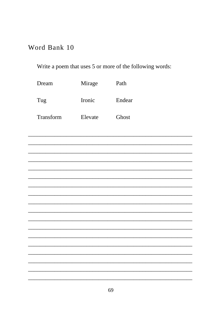| Dream     | Mirage  | Path   |
|-----------|---------|--------|
| Tug       | Ironic  | Endear |
| Transform | Elevate | Ghost  |
|           |         |        |
|           |         |        |
|           |         |        |
|           |         |        |
|           |         |        |
|           |         |        |
|           |         |        |
|           |         |        |
|           |         |        |
|           |         |        |
|           |         |        |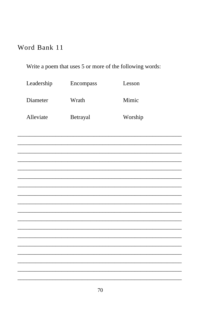| Leadership | Encompass | Lesson  |
|------------|-----------|---------|
| Diameter   | Wrath     | Mimic   |
| Alleviate  | Betrayal  | Worship |
|            |           |         |
|            |           |         |
|            |           |         |
|            |           |         |
|            |           |         |
|            |           |         |
|            |           |         |
|            |           |         |
|            |           |         |
|            |           |         |
|            |           |         |
|            |           |         |
|            |           |         |
|            |           |         |
|            |           |         |
|            |           |         |
|            |           |         |
|            |           |         |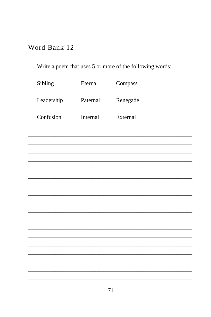| Sibling    | Eternal  | Compass  |
|------------|----------|----------|
| Leadership | Paternal | Renegade |
| Confusion  | Internal | External |
|            |          |          |
|            |          |          |
|            |          |          |
|            |          |          |
|            |          |          |
|            |          |          |
|            |          |          |
|            |          |          |
|            |          |          |
|            |          |          |
|            |          |          |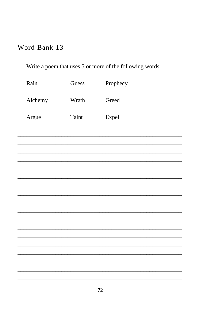| Rain    | Guess | Prophecy |
|---------|-------|----------|
| Alchemy | Wrath | Greed    |
| Argue   | Taint | Expel    |
|         |       |          |
|         |       |          |
|         |       |          |
|         |       |          |
|         |       |          |
|         |       |          |
|         |       |          |
|         |       |          |
|         |       |          |
|         |       |          |
|         |       |          |
|         |       |          |
|         |       |          |
|         |       |          |
|         |       |          |
|         |       |          |
|         |       |          |
|         |       |          |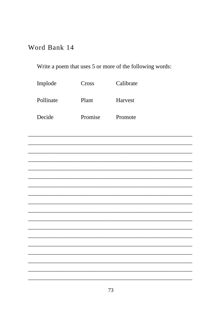| Implode   | Cross   | Calibrate |
|-----------|---------|-----------|
| Pollinate | Plant   | Harvest   |
| Decide    | Promise | Promote   |
|           |         |           |
|           |         |           |
|           |         |           |
|           |         |           |
|           |         |           |
|           |         |           |
|           |         |           |
|           |         |           |
|           |         |           |
|           |         |           |
|           |         |           |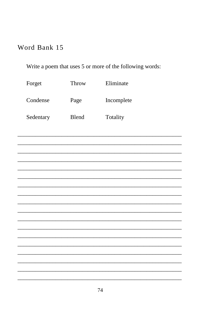| Forget    | Throw | Eliminate  |
|-----------|-------|------------|
| Condense  | Page  | Incomplete |
| Sedentary | Blend | Totality   |
|           |       |            |
|           |       |            |
|           |       |            |
|           |       |            |
|           |       |            |
|           |       |            |
|           |       |            |
|           |       |            |
|           |       |            |
|           |       |            |
|           |       |            |
|           |       |            |
|           |       |            |
|           |       |            |
|           |       |            |
|           |       |            |
|           |       |            |
|           |       |            |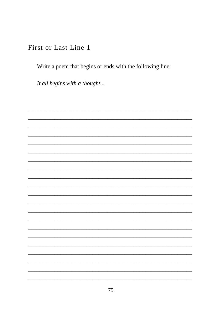Write a poem that begins or ends with the following line:

It all begins with a thought...

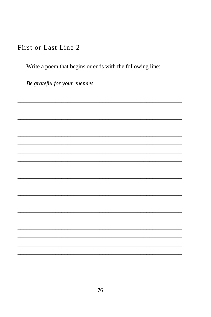Write a poem that begins or ends with the following line:

Be grateful for your enemies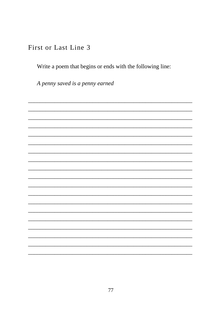Write a poem that begins or ends with the following line:

A penny saved is a penny earned

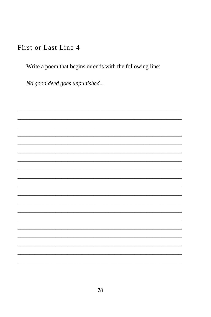Write a poem that begins or ends with the following line:

No good deed goes unpunished...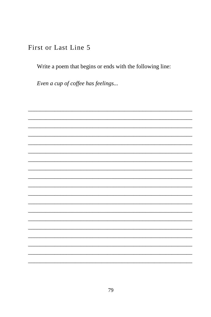Write a poem that begins or ends with the following line:

Even a cup of coffee has feelings...

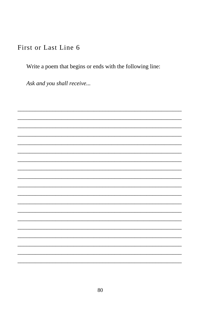Write a poem that begins or ends with the following line:

Ask and you shall receive...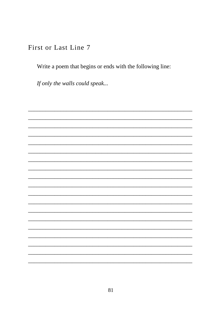Write a poem that begins or ends with the following line:

If only the walls could speak...

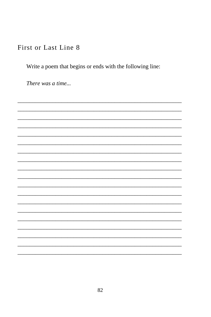Write a poem that begins or ends with the following line:

There was a time...

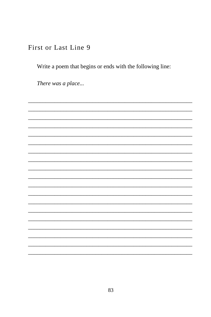Write a poem that begins or ends with the following line:

There was a place...

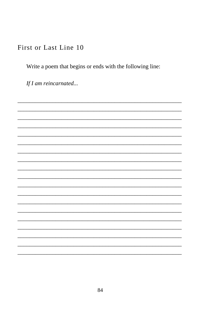Write a poem that begins or ends with the following line:

If I am reincarnated...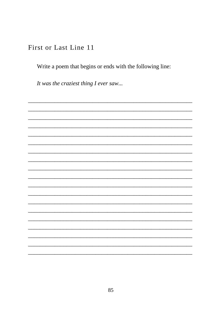Write a poem that begins or ends with the following line:

It was the craziest thing I ever saw...

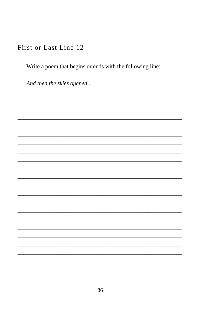Write a poem that begins or ends with the following line:

And then the skies opened...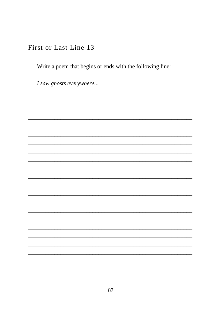Write a poem that begins or ends with the following line:

I saw ghosts everywhere...

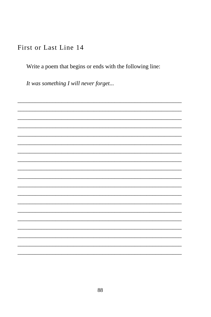Write a poem that begins or ends with the following line:

It was something I will never forget...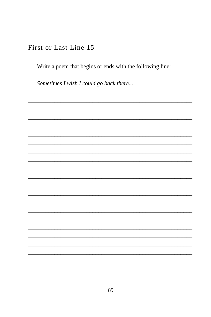Write a poem that begins or ends with the following line:

Sometimes I wish I could go back there...

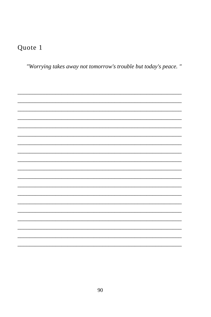"Worrying takes away not tomorrow's trouble but today's peace."

 $\overline{\phantom{a}}$  $\overline{a}$  $\overline{\phantom{a}}$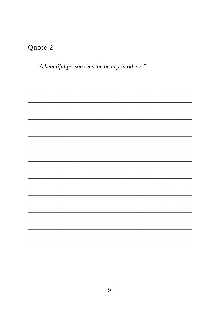"A beautiful person sees the beauty in others."

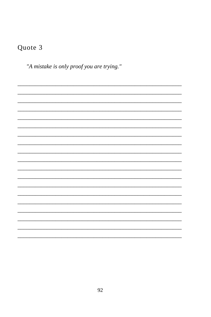"A mistake is only proof you are trying."

L  $\overline{\phantom{a}}$  $\overline{\phantom{a}}$  $\overline{\phantom{a}}$  $\overline{\phantom{a}}$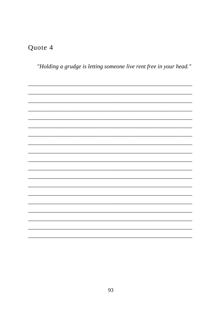"Holding a grudge is letting someone live rent free in your head."

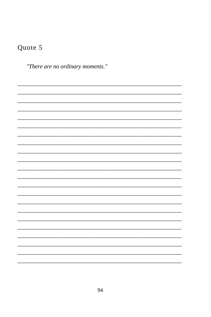"There are no ordinary moments."

 $\overline{\phantom{a}}$  $\overline{\phantom{0}}$  $\overline{\phantom{0}}$  $\overline{\phantom{0}}$  $\overline{\phantom{a}}$  $\overline{\phantom{a}}$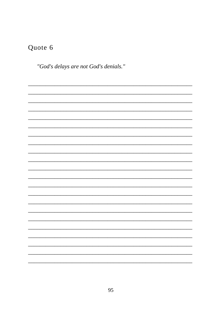"God's delays are not God's denials."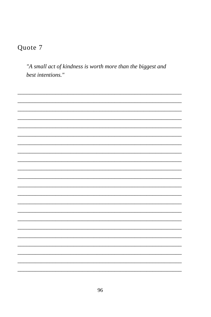"A small act of kindness is worth more than the biggest and best intentions."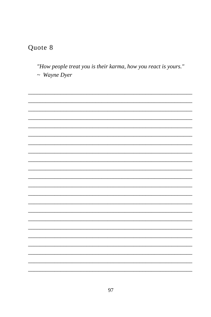"How people treat you is their karma, how you react is yours."  $\sim$  Wayne Dyer

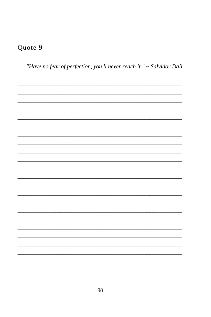"Have no fear of perfection, you'll never reach it." ~ Salvidor Dali

 $\overline{\phantom{a}}$  $\overline{\phantom{a}}$  $\overline{\phantom{a}}$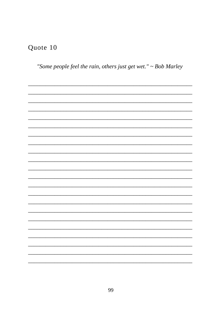"Some people feel the rain, others just get wet."  $\sim$  Bob Marley

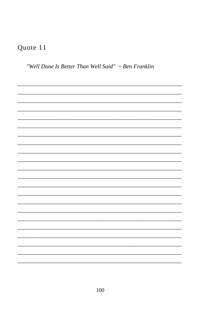"Well Done Is Better Than Well Said" ~ Ben Franklin

L  $\overline{\phantom{a}}$  $\overline{\phantom{a}}$  $\overline{\phantom{a}}$  $\overline{a}$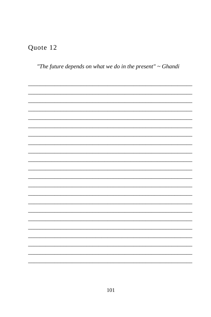"The future depends on what we do in the present"  $\sim$  Ghandi

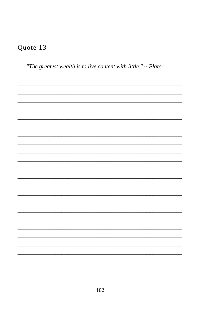"The greatest wealth is to live content with little."  $\sim$  Plato

L  $\overline{a}$  $\overline{\phantom{a}}$  $\overline{a}$  $\overline{a}$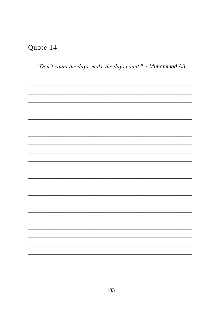"Don't count the days, make the days count." ~ Muhammad Ali

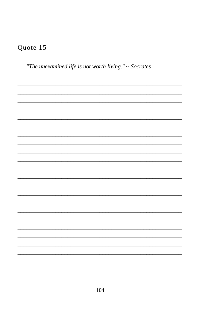"The unexamined life is not worth living."  $\sim$  Socrates

 $\overline{a}$  $\overline{\phantom{a}}$  $\overline{a}$ L